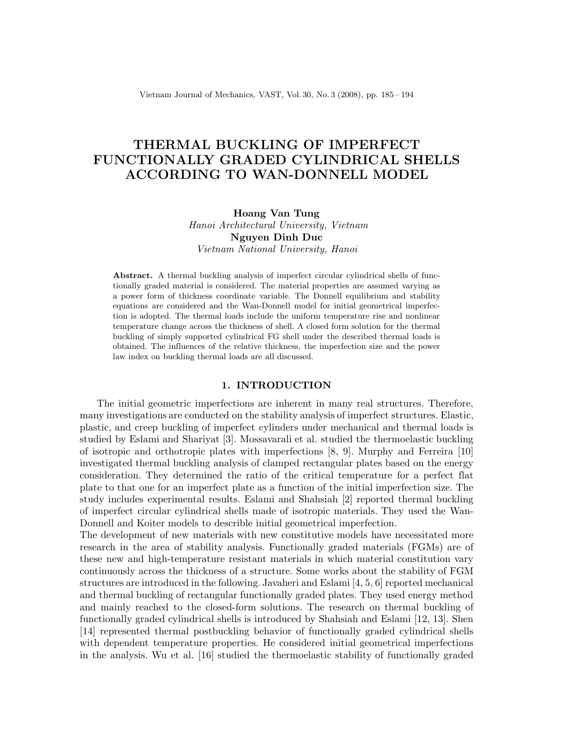Vietnam Journal of Mechanics, VAST, Vol. 30, No. 3 (2008), pp. 185 – 194

# THERMAL BUCKLING OF IMPERFECT FUNCTIONALLY GRADED CYLINDRICAL SHELLS ACCORDING TO WAN-DONNELL MODEL

Hoang Van Tung Hanoi Architectural University, Vietnam Nguyen Dinh Duc

Vietnam National University, Hanoi

Abstract. A thermal buckling analysis of imperfect circular cylindrical shells of functionally graded material is considered. The material properties are assumed varying as a power form of thickness coordinate variable. The Donnell equilibrium and stability equations are considered and the Wan-Donnell model for initial geometrical imperfection is adopted. The thermal loads include the uniform temperature rise and nonlinear temperature change across the thickness of shell. A closed form solution for the thermal buckling of simply supported cylindrical FG shell under the described thermal loads is obtained. The influences of the relative thickness, the imperfection size and the power law index on buckling thermal loads are all discussed.

## 1. INTRODUCTION

The initial geometric imperfections are inherent in many real structures. Therefore, many investigations are conducted on the stability analysis of imperfect structures. Elastic, plastic, and creep buckling of imperfect cylinders under mechanical and thermal loads is studied by Eslami and Shariyat [3]. Mossavarali et al. studied the thermoelastic buckling of isotropic and orthotropic plates with imperfections [8, 9]. Murphy and Ferreira [10] investigated thermal buckling analysis of clamped rectangular plates based on the energy consideration. They determined the ratio of the critical temperature for a perfect flat plate to that one for an imperfect plate as a function of the initial imperfection size. The study includes experimental results. Eslami and Shahsiah [2] reported thermal buckling of imperfect circular cylindrical shells made of isotropic materials. They used the Wan-Donnell and Koiter models to describle initial geometrical imperfection.

The development of new materials with new constitutive models have necessitated more research in the area of stability analysis. Functionally graded materials (FGMs) are of these new and high-temperature resistant materials in which material constitution vary continuously across the thickness of a structure. Some works about the stability of FGM structures are introduced in the following. Javaheri and Eslami [4, 5, 6] reported mechanical and thermal buckling of rectangular functionally graded plates. They used energy method and mainly reached to the closed-form solutions. The research on thermal buckling of functionally graded cylindrical shells is introduced by Shahsiah and Eslami [12, 13]. Shen [14] represented thermal postbuckling behavior of functionally graded cylindrical shells with dependent temperature properties. He considered initial geometrical imperfections in the analysis. Wu et al. [16] studied the thermoelastic stability of functionally graded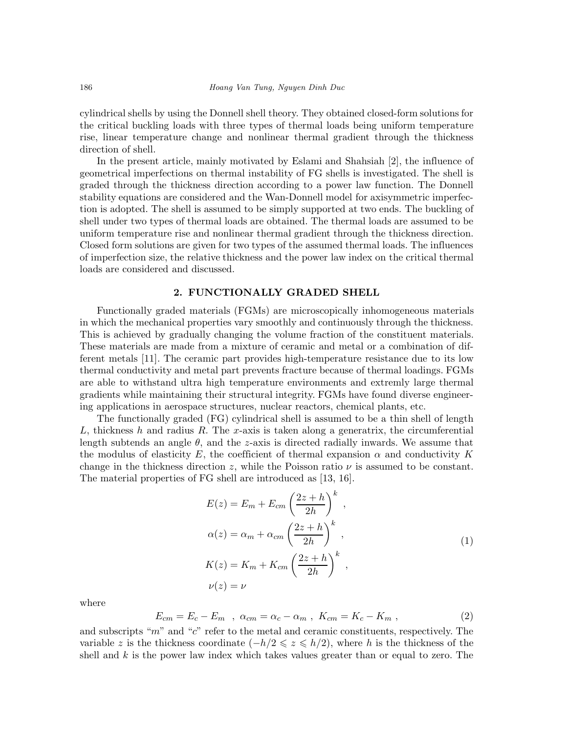cylindrical shells by using the Donnell shell theory. They obtained closed-form solutions for the critical buckling loads with three types of thermal loads being uniform temperature rise, linear temperature change and nonlinear thermal gradient through the thickness direction of shell.

In the present article, mainly motivated by Eslami and Shahsiah [2], the influence of geometrical imperfections on thermal instability of FG shells is investigated. The shell is graded through the thickness direction according to a power law function. The Donnell stability equations are considered and the Wan-Donnell model for axisymmetric imperfection is adopted. The shell is assumed to be simply supported at two ends. The buckling of shell under two types of thermal loads are obtained. The thermal loads are assumed to be uniform temperature rise and nonlinear thermal gradient through the thickness direction. Closed form solutions are given for two types of the assumed thermal loads. The influences of imperfection size, the relative thickness and the power law index on the critical thermal loads are considered and discussed.

## 2. FUNCTIONALLY GRADED SHELL

Functionally graded materials (FGMs) are microscopically inhomogeneous materials in which the mechanical properties vary smoothly and continuously through the thickness. This is achieved by gradually changing the volume fraction of the constituent materials. These materials are made from a mixture of ceramic and metal or a combination of different metals [11]. The ceramic part provides high-temperature resistance due to its low thermal conductivity and metal part prevents fracture because of thermal loadings. FGMs are able to withstand ultra high temperature environments and extremly large thermal gradients while maintaining their structural integrity. FGMs have found diverse engineering applications in aerospace structures, nuclear reactors, chemical plants, etc.

The functionally graded (FG) cylindrical shell is assumed to be a thin shell of length L, thickness h and radius R. The x-axis is taken along a generatrix, the circumferential length subtends an angle  $\theta$ , and the z-axis is directed radially inwards. We assume that the modulus of elasticity E, the coefficient of thermal expansion  $\alpha$  and conductivity K change in the thickness direction z, while the Poisson ratio  $\nu$  is assumed to be constant. The material properties of FG shell are introduced as [13, 16].

$$
E(z) = E_m + E_{cm} \left(\frac{2z + h}{2h}\right)^k,
$$
  
\n
$$
\alpha(z) = \alpha_m + \alpha_{cm} \left(\frac{2z + h}{2h}\right)^k,
$$
  
\n
$$
K(z) = K_m + K_{cm} \left(\frac{2z + h}{2h}\right)^k,
$$
  
\n
$$
\nu(z) = \nu
$$
\n(1)

where

$$
E_{cm} = E_c - E_m \quad , \quad \alpha_{cm} = \alpha_c - \alpha_m \quad , \quad K_{cm} = K_c - K_m \quad , \tag{2}
$$

and subscripts " $m$ " and " $c$ " refer to the metal and ceramic constituents, respectively. The variable z is the thickness coordinate  $(-h/2 \leqslant z \leqslant h/2)$ , where h is the thickness of the shell and  $k$  is the power law index which takes values greater than or equal to zero. The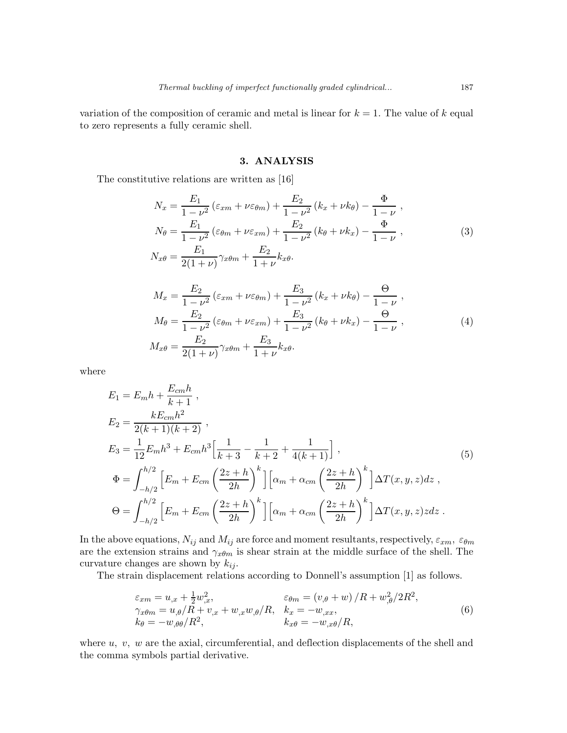variation of the composition of ceramic and metal is linear for  $k = 1$ . The value of k equal to zero represents a fully ceramic shell.

### 3. ANALYSIS

The constitutive relations are written as [16]

$$
N_x = \frac{E_1}{1 - \nu^2} (\varepsilon_{xm} + \nu \varepsilon_{\theta m}) + \frac{E_2}{1 - \nu^2} (k_x + \nu k_\theta) - \frac{\Phi}{1 - \nu},
$$
  
\n
$$
N_\theta = \frac{E_1}{1 - \nu^2} (\varepsilon_{\theta m} + \nu \varepsilon_{xm}) + \frac{E_2}{1 - \nu^2} (k_\theta + \nu k_x) - \frac{\Phi}{1 - \nu},
$$
  
\n
$$
N_{x\theta} = \frac{E_1}{2(1 + \nu)} \gamma_x \theta_m + \frac{E_2}{1 + \nu} k_x \theta.
$$
\n(3)

$$
M_x = \frac{E_2}{1 - \nu^2} \left( \varepsilon_{xm} + \nu \varepsilon_{\theta m} \right) + \frac{E_3}{1 - \nu^2} \left( k_x + \nu k_\theta \right) - \frac{\Theta}{1 - \nu} ,
$$
  
\n
$$
M_\theta = \frac{E_2}{1 - \nu^2} \left( \varepsilon_{\theta m} + \nu \varepsilon_{xm} \right) + \frac{E_3}{1 - \nu^2} \left( k_\theta + \nu k_x \right) - \frac{\Theta}{1 - \nu} ,
$$
  
\n
$$
M_{x\theta} = \frac{E_2}{2(1 + \nu)} \gamma_{x\theta m} + \frac{E_3}{1 + \nu} k_{x\theta} .
$$
\n(4)

where

$$
E_1 = E_m h + \frac{E_{cm} h}{k+1},
$$
  
\n
$$
E_2 = \frac{k E_{cm} h^2}{2(k+1)(k+2)},
$$
  
\n
$$
E_3 = \frac{1}{12} E_m h^3 + E_{cm} h^3 \Big[ \frac{1}{k+3} - \frac{1}{k+2} + \frac{1}{4(k+1)} \Big],
$$
  
\n
$$
\Phi = \int_{-h/2}^{h/2} \Big[ E_m + E_{cm} \left( \frac{2z+h}{2h} \right)^k \Big] \Big[ \alpha_m + \alpha_{cm} \left( \frac{2z+h}{2h} \right)^k \Big] \Delta T(x, y, z) dz,
$$
  
\n
$$
\Theta = \int_{-h/2}^{h/2} \Big[ E_m + E_{cm} \left( \frac{2z+h}{2h} \right)^k \Big] \Big[ \alpha_m + \alpha_{cm} \left( \frac{2z+h}{2h} \right)^k \Big] \Delta T(x, y, z) z dz.
$$
\n(5)

In the above equations,  $N_{ij}$  and  $M_{ij}$  are force and moment resultants, respectively,  $\varepsilon_{xm}$ ,  $\varepsilon_{\theta m}$ are the extension strains and  $\gamma_{x\theta m}$  is shear strain at the middle surface of the shell. The curvature changes are shown by  $k_{ij}$ .

The strain displacement relations according to Donnell's assumption [1] as follows.

$$
\varepsilon_{xm} = u_{,x} + \frac{1}{2}w_{,x}^2, \qquad \varepsilon_{\theta m} = (v_{,\theta} + w)/R + w_{,\theta}^2/2R^2, \n\gamma_{x\theta m} = u_{,\theta}/R + v_{,x} + w_{,x}w_{,\theta}/R, \quad k_x = -w_{,xx}, \nk_{\theta} = -w_{,\theta\theta}/R^2, \qquad k_{x\theta} = -w_{,x\theta}/R,
$$
\n(6)

where  $u, v, w$  are the axial, circumferential, and deflection displacements of the shell and the comma symbols partial derivative.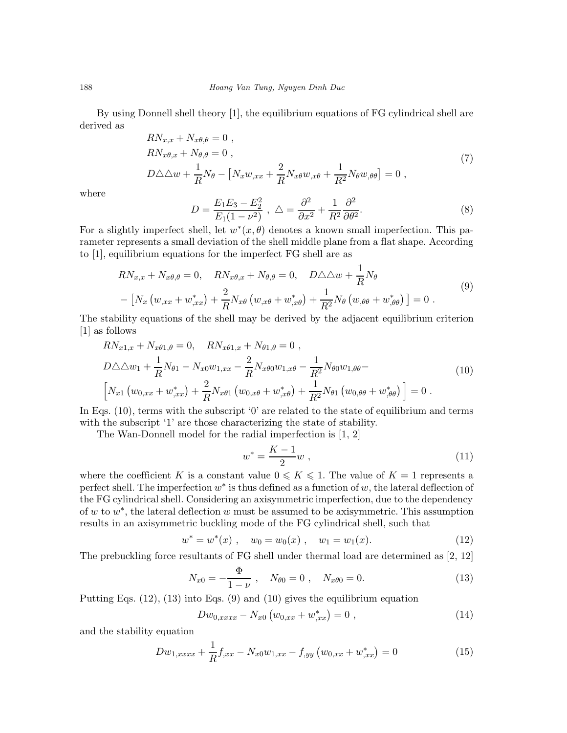By using Donnell shell theory [1], the equilibrium equations of FG cylindrical shell are derived as

$$
RN_{x,x} + N_{x\theta,\theta} = 0 ,
$$
  
\n
$$
RN_{x\theta,x} + N_{\theta,\theta} = 0 ,
$$
  
\n
$$
D\triangle\triangle w + \frac{1}{R}N_{\theta} - [N_xw_{,xx} + \frac{2}{R}N_{x\theta}w_{,x\theta} + \frac{1}{R^2}N_{\theta}w_{,\theta\theta}] = 0 ,
$$
\n(7)

where

$$
D = \frac{E_1 E_3 - E_2^2}{E_1 (1 - \nu^2)}, \ \Delta = \frac{\partial^2}{\partial x^2} + \frac{1}{R^2} \frac{\partial^2}{\partial \theta^2}.
$$
 (8)

For a slightly imperfect shell, let  $w^*(x, \theta)$  denotes a known small imperfection. This parameter represents a small deviation of the shell middle plane from a flat shape. According to [1], equilibrium equations for the imperfect FG shell are as

$$
RN_{x,x} + N_{x\theta,\theta} = 0, \quad RN_{x\theta,x} + N_{\theta,\theta} = 0, \quad D\triangle\triangle w + \frac{1}{R}N_{\theta}
$$
  
- 
$$
\left[N_x \left(w_{,xx} + w_{,xx}^*\right) + \frac{2}{R}N_{x\theta}\left(w_{,x\theta} + w_{,x\theta}^*\right) + \frac{1}{R^2}N_{\theta}\left(w_{,\theta\theta} + w_{,\theta\theta}^*\right)\right] = 0.
$$
 (9)

The stability equations of the shell may be derived by the adjacent equilibrium criterion [1] as follows

$$
RN_{x1,x} + N_{x\theta 1,\theta} = 0, \quad RN_{x\theta 1,x} + N_{\theta 1,\theta} = 0,
$$
  
\n
$$
D\triangle \triangle w_1 + \frac{1}{R}N_{\theta 1} - N_{x0}w_{1,xx} - \frac{2}{R}N_{x\theta 0}w_{1,x\theta} - \frac{1}{R^2}N_{\theta 0}w_{1,\theta\theta} -
$$
  
\n
$$
\left[N_{x1}\left(w_{0,xx} + w_{,xx}^*\right) + \frac{2}{R}N_{x\theta 1}\left(w_{0,x\theta} + w_{,x\theta}^*\right) + \frac{1}{R^2}N_{\theta 1}\left(w_{0,\theta\theta} + w_{,\theta\theta}^*\right)\right] = 0.
$$
\n(10)

In Eqs. (10), terms with the subscript '0' are related to the state of equilibrium and terms with the subscript '1' are those characterizing the state of stability.

The Wan-Donnell model for the radial imperfection is [1, 2]

$$
w^* = \frac{K-1}{2}w \t{11}
$$

where the coefficient K is a constant value  $0 \leq K \leq 1$ . The value of  $K = 1$  represents a perfect shell. The imperfection  $w^*$  is thus defined as a function of w, the lateral deflection of the FG cylindrical shell. Considering an axisymmetric imperfection, due to the dependency of w to  $w^*$ , the lateral deflection w must be assumed to be axisymmetric. This assumption results in an axisymmetric buckling mode of the FG cylindrical shell, such that

$$
w^* = w^*(x) , \quad w_0 = w_0(x) , \quad w_1 = w_1(x). \tag{12}
$$

The prebuckling force resultants of FG shell under thermal load are determined as [2, 12]

$$
N_{x0} = -\frac{\Phi}{1-\nu} \ , \quad N_{\theta 0} = 0 \ , \quad N_{x\theta 0} = 0. \tag{13}
$$

Putting Eqs. (12), (13) into Eqs. (9) and (10) gives the equilibrium equation

$$
Dw_{0,xxxx} - N_{x0} (w_{0,xx} + w_{,xx}^*) = 0 , \qquad (14)
$$

and the stability equation

$$
Dw_{1,xxxx} + \frac{1}{R}f_{,xx} - N_{x0}w_{1,xx} - f_{,yy}\left(w_{0,xx} + w_{,xx}^*\right) = 0\tag{15}
$$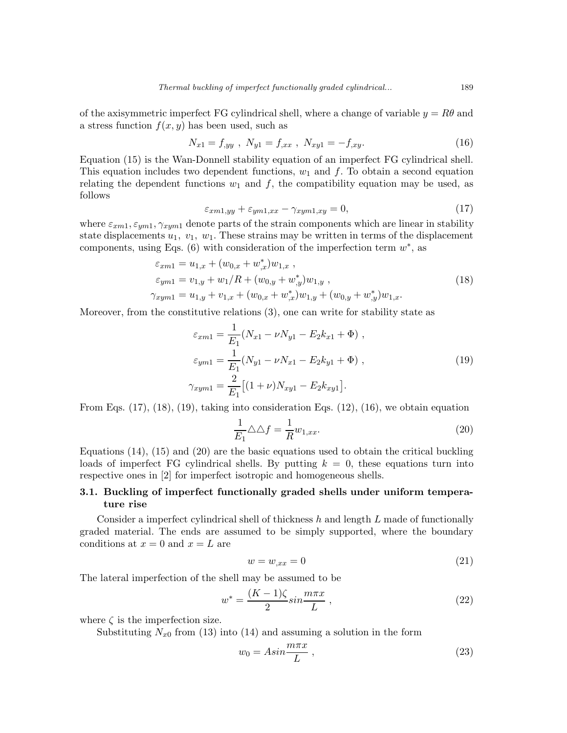of the axisymmetric imperfect FG cylindrical shell, where a change of variable  $y = R\theta$  and a stress function  $f(x, y)$  has been used, such as

$$
N_{x1} = f_{,yy} , N_{y1} = f_{,xx} , N_{xy1} = -f_{,xy}.
$$
 (16)

Equation (15) is the Wan-Donnell stability equation of an imperfect FG cylindrical shell. This equation includes two dependent functions,  $w_1$  and  $f$ . To obtain a second equation relating the dependent functions  $w_1$  and f, the compatibility equation may be used, as follows

$$
\varepsilon_{xm1,yy} + \varepsilon_{ym1,xx} - \gamma_{xym1,xy} = 0,\t\t(17)
$$

where  $\varepsilon_{xm1}, \varepsilon_{ym1}, \gamma_{xym1}$  denote parts of the strain components which are linear in stability state displacements  $u_1, v_1, w_1$ . These strains may be written in terms of the displacement components, using Eqs. (6) with consideration of the imperfection term  $w^*$ , as

$$
\varepsilon_{xm1} = u_{1,x} + (w_{0,x} + w_{,x}^*)w_{1,x} ,
$$
  
\n
$$
\varepsilon_{ym1} = v_{1,y} + w_1/R + (w_{0,y} + w_{,y}^*)w_{1,y} ,
$$
  
\n
$$
\gamma_{xym1} = u_{1,y} + v_{1,x} + (w_{0,x} + w_{,x}^*)w_{1,y} + (w_{0,y} + w_{,y}^*)w_{1,x}.
$$
\n(18)

Moreover, from the constitutive relations (3), one can write for stability state as

$$
\varepsilon_{xm1} = \frac{1}{E_1} (N_{x1} - \nu N_{y1} - E_2 k_{x1} + \Phi) ,
$$
  
\n
$$
\varepsilon_{ym1} = \frac{1}{E_1} (N_{y1} - \nu N_{x1} - E_2 k_{y1} + \Phi) ,
$$
  
\n
$$
\gamma_{xym1} = \frac{2}{E_1} [(1 + \nu) N_{xy1} - E_2 k_{xy1}].
$$
\n(19)

From Eqs.  $(17)$ ,  $(18)$ ,  $(19)$ , taking into consideration Eqs.  $(12)$ ,  $(16)$ , we obtain equation

$$
\frac{1}{E_1} \triangle \triangle f = \frac{1}{R} w_{1,xx}.
$$
\n(20)

Equations (14), (15) and (20) are the basic equations used to obtain the critical buckling loads of imperfect FG cylindrical shells. By putting  $k = 0$ , these equations turn into respective ones in [2] for imperfect isotropic and homogeneous shells.

## 3.1. Buckling of imperfect functionally graded shells under uniform temperature rise

Consider a imperfect cylindrical shell of thickness  $h$  and length  $L$  made of functionally graded material. The ends are assumed to be simply supported, where the boundary conditions at  $x = 0$  and  $x = L$  are

$$
w = w_{,xx} = 0 \tag{21}
$$

The lateral imperfection of the shell may be assumed to be

$$
w^* = \frac{(K-1)\zeta}{2} \sin \frac{m\pi x}{L} \,,\tag{22}
$$

where  $\zeta$  is the imperfection size.

Substituting  $N_{x0}$  from (13) into (14) and assuming a solution in the form

$$
w_0 = Asin\frac{m\pi x}{L},\qquad(23)
$$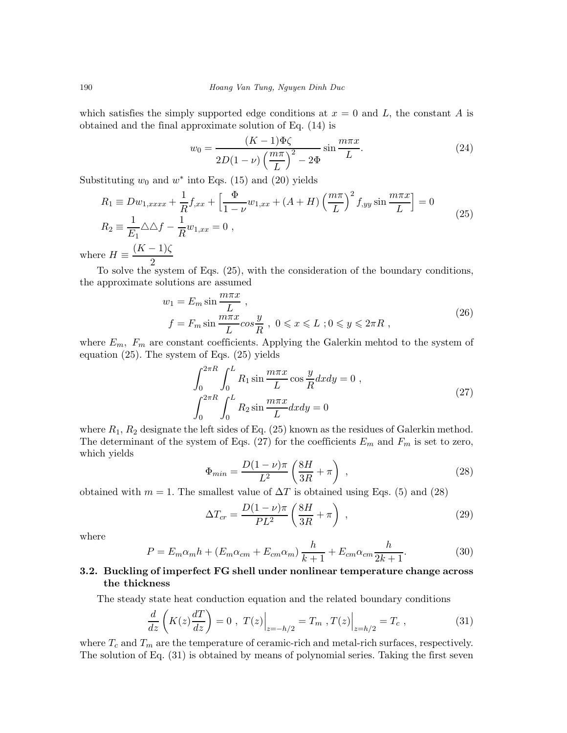which satisfies the simply supported edge conditions at  $x = 0$  and L, the constant A is obtained and the final approximate solution of Eq. (14) is

$$
w_0 = \frac{(K-1)\Phi\zeta}{2D(1-\nu)\left(\frac{m\pi}{L}\right)^2 - 2\Phi} \sin\frac{m\pi x}{L}.
$$
\n(24)

Substituting  $w_0$  and  $w^*$  into Eqs. (15) and (20) yields

$$
R_1 \equiv Dw_{1,xxxx} + \frac{1}{R}f_{,xx} + \left[\frac{\Phi}{1-\nu}w_{1,xx} + (A+H)\left(\frac{m\pi}{L}\right)^2 f_{,yy}\sin\frac{m\pi x}{L}\right] = 0
$$
  
\n
$$
R_2 \equiv \frac{1}{E_1}\triangle\triangle f - \frac{1}{R}w_{1,xx} = 0,
$$
  
\n
$$
\text{re } H \equiv \frac{(K-1)\zeta}{}
$$

where 2

To solve the system of Eqs. (25), with the consideration of the boundary conditions, the approximate solutions are assumed

$$
w_1 = E_m \sin \frac{m\pi x}{L},
$$
  
\n
$$
f = F_m \sin \frac{m\pi x}{L} \cos \frac{y}{R}, \ 0 \le x \le L \ ; 0 \le y \le 2\pi R,
$$
\n
$$
(26)
$$

where  $E_m$ ,  $F_m$  are constant coefficients. Applying the Galerkin mehtod to the system of equation (25). The system of Eqs. (25) yields

$$
\int_0^{2\pi R} \int_0^L R_1 \sin \frac{m\pi x}{L} \cos \frac{y}{R} dx dy = 0 ,
$$
  

$$
\int_0^{2\pi R} \int_0^L R_2 \sin \frac{m\pi x}{L} dx dy = 0
$$
 (27)

where  $R_1, R_2$  designate the left sides of Eq. (25) known as the residues of Galerkin method. The determinant of the system of Eqs. (27) for the coefficients  $E_m$  and  $F_m$  is set to zero, which yields

$$
\Phi_{min} = \frac{D(1-\nu)\pi}{L^2} \left(\frac{8H}{3R} + \pi\right) ,\qquad (28)
$$

obtained with  $m = 1$ . The smallest value of  $\Delta T$  is obtained using Eqs. (5) and (28)

$$
\Delta T_{cr} = \frac{D(1-\nu)\pi}{PL^2} \left(\frac{8H}{3R} + \pi\right) ,\qquad (29)
$$

where

$$
P = E_m \alpha_m h + (E_m \alpha_{cm} + E_{cm} \alpha_m) \frac{h}{k+1} + E_{cm} \alpha_{cm} \frac{h}{2k+1}.
$$
 (30)

# 3.2. Buckling of imperfect FG shell under nonlinear temperature change across the thickness

The steady state heat conduction equation and the related boundary conditions

$$
\frac{d}{dz}\left(K(z)\frac{dT}{dz}\right) = 0 \ , \ T(z)\Big|_{z=-h/2} = T_m \ , T(z)\Big|_{z=h/2} = T_c \ , \tag{31}
$$

where  $T_c$  and  $T_m$  are the temperature of ceramic-rich and metal-rich surfaces, respectively. The solution of Eq. (31) is obtained by means of polynomial series. Taking the first seven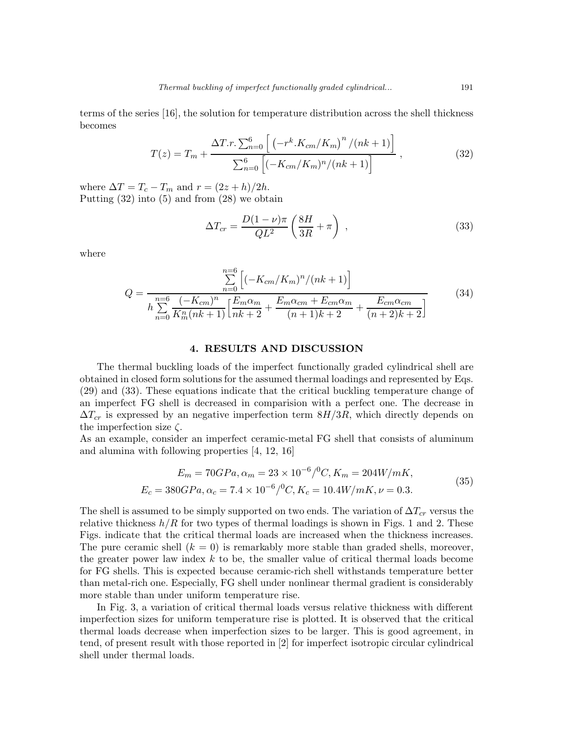terms of the series [16], the solution for temperature distribution across the shell thickness becomes

$$
T(z) = T_m + \frac{\Delta T.r. \sum_{n=0}^{6} \left[ \left( -r^k.K_{cm}/K_m \right)^n / (nk+1) \right]}{\sum_{n=0}^{6} \left[ \left( -K_{cm}/K_m \right)^n / (nk+1) \right]},
$$
\n(32)

where  $\Delta T = T_c - T_m$  and  $r = (2z + h)/2h$ . Putting (32) into (5) and from (28) we obtain

$$
\Delta T_{cr} = \frac{D(1-\nu)\pi}{QL^2} \left(\frac{8H}{3R} + \pi\right) ,\qquad (33)
$$

where

$$
Q = \frac{\sum_{n=0}^{n=6} \left[ (-K_{cm}/K_m)^n / (nk+1) \right]}{h \sum_{n=0}^{n=6} \frac{(-K_{cm})^n}{K_m^n (nk+1)} \left[ \frac{E_m \alpha_m}{nk+2} + \frac{E_m \alpha_{cm} + E_{cm} \alpha_m}{(n+1)k+2} + \frac{E_{cm} \alpha_{cm}}{(n+2)k+2} \right]}
$$
(34)

#### 4. RESULTS AND DISCUSSION

The thermal buckling loads of the imperfect functionally graded cylindrical shell are obtained in closed form solutions for the assumed thermal loadings and represented by Eqs. (29) and (33). These equations indicate that the critical buckling temperature change of an imperfect FG shell is decreased in comparision with a perfect one. The decrease in  $\Delta T_{cr}$  is expressed by an negative imperfection term  $8H/3R$ , which directly depends on the imperfection size  $\zeta$ .

As an example, consider an imperfect ceramic-metal FG shell that consists of aluminum and alumina with following properties [4, 12, 16]

$$
E_m = 70GPa, \alpha_m = 23 \times 10^{-6} / {}^{0}C, K_m = 204W/mK,
$$
  
\n
$$
E_c = 380GPa, \alpha_c = 7.4 \times 10^{-6} / {}^{0}C, K_c = 10.4W/mK, \nu = 0.3.
$$
\n(35)

The shell is assumed to be simply supported on two ends. The variation of  $\Delta T_{cr}$  versus the relative thickness  $h/R$  for two types of thermal loadings is shown in Figs. 1 and 2. These Figs. indicate that the critical thermal loads are increased when the thickness increases. The pure ceramic shell  $(k = 0)$  is remarkably more stable than graded shells, moreover, the greater power law index  $k$  to be, the smaller value of critical thermal loads become for FG shells. This is expected because ceramic-rich shell withstands temperature better than metal-rich one. Especially, FG shell under nonlinear thermal gradient is considerably more stable than under uniform temperature rise.

In Fig. 3, a variation of critical thermal loads versus relative thickness with different imperfection sizes for uniform temperature rise is plotted. It is observed that the critical thermal loads decrease when imperfection sizes to be larger. This is good agreement, in tend, of present result with those reported in [2] for imperfect isotropic circular cylindrical shell under thermal loads.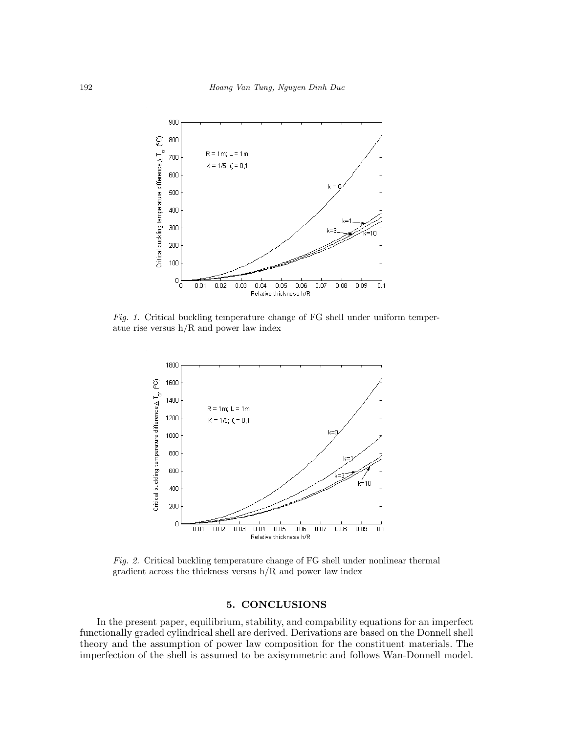

Fig. 1. Critical buckling temperature change of FG shell under uniform temperatue rise versus h/R and power law index



Fig. 2. Critical buckling temperature change of FG shell under nonlinear thermal gradient across the thickness versus h/R and power law index

### 5. CONCLUSIONS

In the present paper, equilibrium, stability, and compability equations for an imperfect functionally graded cylindrical shell are derived. Derivations are based on the Donnell shell theory and the assumption of power law composition for the constituent materials. The imperfection of the shell is assumed to be axisymmetric and follows Wan-Donnell model.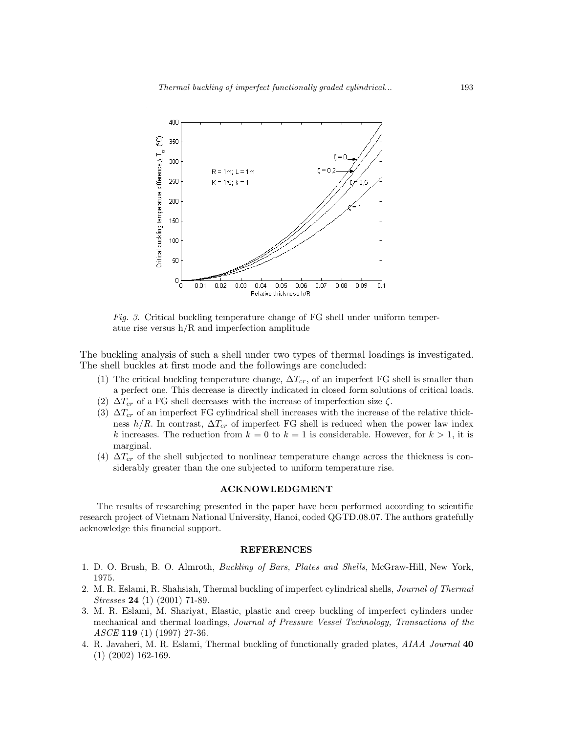

Fig. 3. Critical buckling temperature change of FG shell under uniform temperatue rise versus h/R and imperfection amplitude

The buckling analysis of such a shell under two types of thermal loadings is investigated. The shell buckles at first mode and the followings are concluded:

- (1) The critical buckling temperature change,  $\Delta T_{cr}$ , of an imperfect FG shell is smaller than a perfect one. This decrease is directly indicated in closed form solutions of critical loads.
- (2)  $\Delta T_{cr}$  of a FG shell decreases with the increase of imperfection size  $\zeta$ .
- (3)  $\Delta T_{cr}$  of an imperfect FG cylindrical shell increases with the increase of the relative thickness  $h/R$ . In contrast,  $\Delta T_{cr}$  of imperfect FG shell is reduced when the power law index k increases. The reduction from  $k = 0$  to  $k = 1$  is considerable. However, for  $k > 1$ , it is marginal.
- (4)  $\Delta T_{cr}$  of the shell subjected to nonlinear temperature change across the thickness is considerably greater than the one subjected to uniform temperature rise.

#### ACKNOWLEDGMENT

The results of researching presented in the paper have been performed according to scientific research project of Vietnam National University, Hanoi, coded QGTĐ.08.07. The authors gratefully acknowledge this financial support.

#### **REFERENCES**

- 1. D. O. Brush, B. O. Almroth, Buckling of Bars, Plates and Shells, McGraw-Hill, New York, 1975.
- 2. M. R. Eslami, R. Shahsiah, Thermal buckling of imperfect cylindrical shells, Journal of Thermal Stresses 24 (1) (2001) 71-89.
- 3. M. R. Eslami, M. Shariyat, Elastic, plastic and creep buckling of imperfect cylinders under mechanical and thermal loadings, Journal of Pressure Vessel Technology, Transactions of the ASCE 119 (1) (1997) 27-36.
- 4. R. Javaheri, M. R. Eslami, Thermal buckling of functionally graded plates, *AIAA Journal* 40 (1) (2002) 162-169.